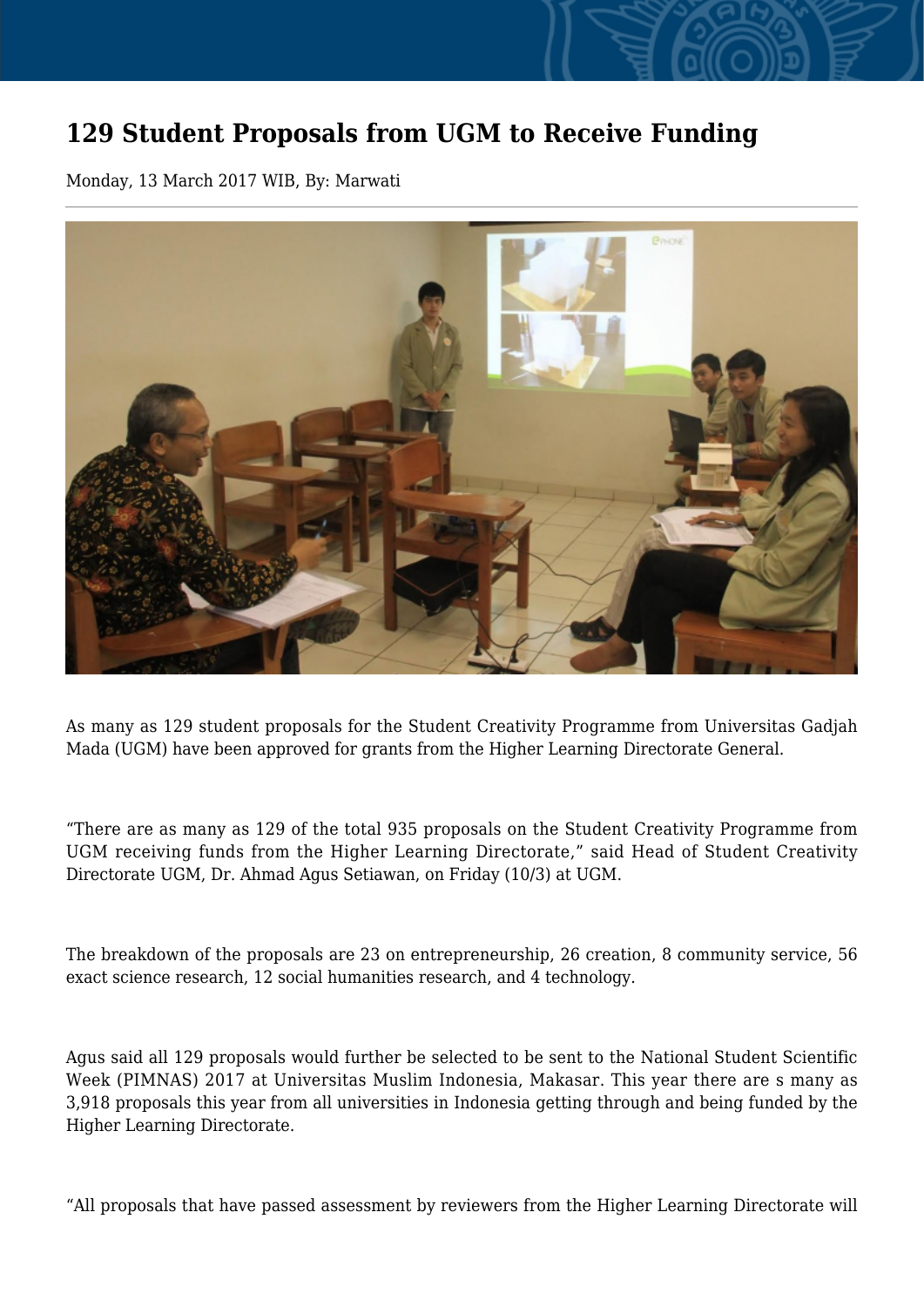## **129 Student Proposals from UGM to Receive Funding**

Monday, 13 March 2017 WIB, By: Marwati



As many as 129 student proposals for the Student Creativity Programme from Universitas Gadjah Mada (UGM) have been approved for grants from the Higher Learning Directorate General.

"There are as many as 129 of the total 935 proposals on the Student Creativity Programme from UGM receiving funds from the Higher Learning Directorate," said Head of Student Creativity Directorate UGM, Dr. Ahmad Agus Setiawan, on Friday (10/3) at UGM.

The breakdown of the proposals are 23 on entrepreneurship, 26 creation, 8 community service, 56 exact science research, 12 social humanities research, and 4 technology.

Agus said all 129 proposals would further be selected to be sent to the National Student Scientific Week (PIMNAS) 2017 at Universitas Muslim Indonesia, Makasar. This year there are s many as 3,918 proposals this year from all universities in Indonesia getting through and being funded by the Higher Learning Directorate.

"All proposals that have passed assessment by reviewers from the Higher Learning Directorate will